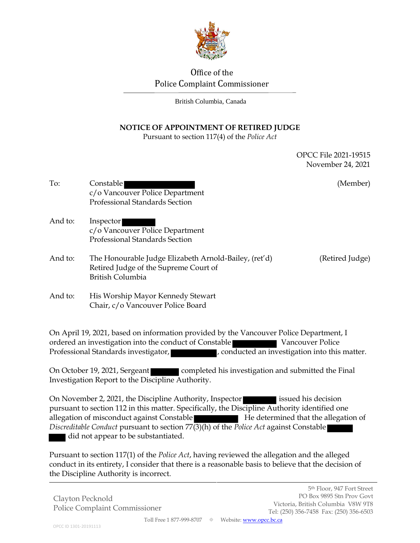

# Office of the Police Complaint Commissioner

British Columbia, Canada

## **NOTICE OF APPOINTMENT OF RETIRED JUDGE**

Pursuant to section 117(4) of the *Police Act*

OPCC File 2021-19515 November 24, 2021

- To: Constable (Member) c/o Vancouver Police Department Professional Standards Section And to: Inspector
- c/o Vancouver Police Department Professional Standards Section
- And to: The Honourable Judge Elizabeth Arnold-Bailey, (ret'd) (Retired Judge) Retired Judge of the Supreme Court of British Columbia

And to: His Worship Mayor Kennedy Stewart Chair, c/o Vancouver Police Board

On April 19, 2021, based on information provided by the Vancouver Police Department, I ordered an investigation into the conduct of Constable Vancouver Police Professional Standards investigator, **Fig. 2016**, conducted an investigation into this matter.

On October 19, 2021, Sergeant completed his investigation and submitted the Final Investigation Report to the Discipline Authority.

On November 2, 2021, the Discipline Authority, Inspector issued his decision pursuant to section 112 in this matter. Specifically, the Discipline Authority identified one allegation of misconduct against Constable He determined that the allegation of *Discreditable Conduct* pursuant to section 77(3)(h) of the *Police Act* against Constable did not appear to be substantiated.

Pursuant to section 117(1) of the *Police Act*, having reviewed the allegation and the alleged conduct in its entirety, I consider that there is a reasonable basis to believe that the decision of the Discipline Authority is incorrect.

Clayton Pecknold Police Complaint Commissioner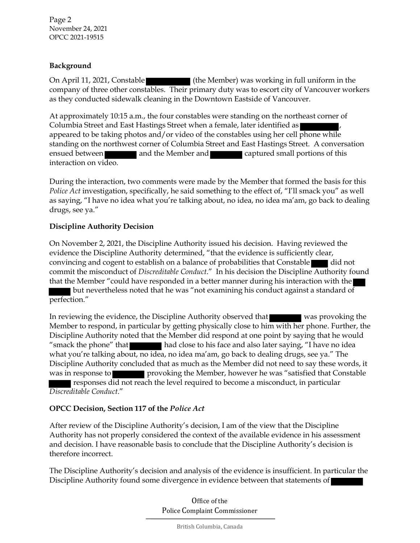### **Background**

On April 11, 2021, Constable (the Member) was working in full uniform in the company of three other constables. Their primary duty was to escort city of Vancouver workers as they conducted sidewalk cleaning in the Downtown Eastside of Vancouver.

At approximately 10:15 a.m., the four constables were standing on the northeast corner of Columbia Street and East Hastings Street when a female, later identified as appeared to be taking photos and/or video of the constables using her cell phone while standing on the northwest corner of Columbia Street and East Hastings Street. A conversation ensued between and the Member and captured small portions of this interaction on video.

During the interaction, two comments were made by the Member that formed the basis for this *Police Act* investigation, specifically, he said something to the effect of, "I'll smack you" as well as saying, "I have no idea what you're talking about, no idea, no idea ma'am, go back to dealing drugs, see ya."

### **Discipline Authority Decision**

On November 2, 2021, the Discipline Authority issued his decision. Having reviewed the evidence the Discipline Authority determined, "that the evidence is sufficiently clear, convincing and cogent to establish on a balance of probabilities that Constable did not commit the misconduct of *Discreditable Conduct*." In his decision the Discipline Authority found that the Member "could have responded in a better manner during his interaction with the  $\blacksquare$  but nevertheless noted that he was "not examining his conduct against a standard of perfection."

In reviewing the evidence, the Discipline Authority observed that was provoking the Member to respond, in particular by getting physically close to him with her phone. Further, the Discipline Authority noted that the Member did respond at one point by saying that he would "smack the phone" that had close to his face and also later saying, "I have no idea what you're talking about, no idea, no idea ma'am, go back to dealing drugs, see ya." The Discipline Authority concluded that as much as the Member did not need to say these words, it was in response to provoking the Member, however he was "satisfied that Constable responses did not reach the level required to become a misconduct, in particular *Discreditable Conduct*."

## **OPCC Decision, Section 117 of the** *Police Act*

After review of the Discipline Authority's decision, I am of the view that the Discipline Authority has not properly considered the context of the available evidence in his assessment and decision. I have reasonable basis to conclude that the Discipline Authority's decision is therefore incorrect.

The Discipline Authority's decision and analysis of the evidence is insufficient. In particular the Discipline Authority found some divergence in evidence between that statements of

> Office of the Police Complaint Commissioner

> > British Columbia, Canada